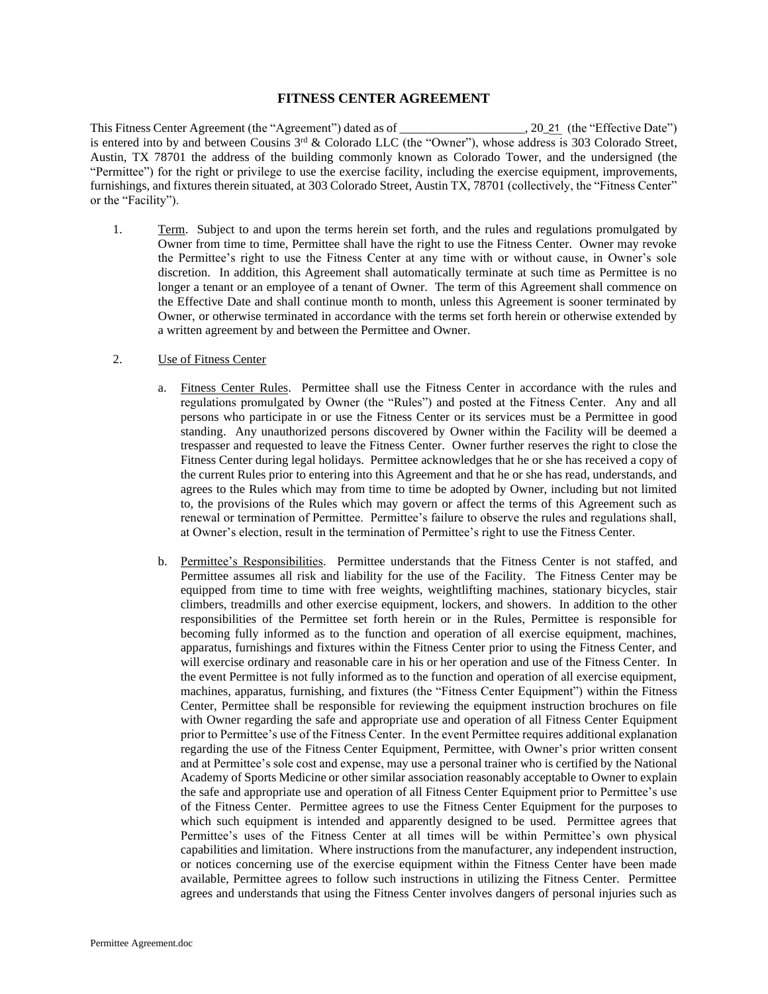## **FITNESS CENTER AGREEMENT**

This Fitness Center Agreement (the "Agreement") dated as of is entered into by and between Cousins 3rd & Colorado LLC (the "Owner"), whose address is 303 Colorado Street, Austin, TX 78701 the address of the building commonly known as Colorado Tower, and the undersigned (the "Permittee") for the right or privilege to use the exercise facility, including the exercise equipment, improvements, furnishings, and fixtures therein situated, at 303 Colorado Street, Austin TX, 78701 (collectively, the "Fitness Center" or the "Facility").  $\ldots$ , 20\_21 (the "Effective Date")

1. Term. Subject to and upon the terms herein set forth, and the rules and regulations promulgated by Owner from time to time, Permittee shall have the right to use the Fitness Center. Owner may revoke the Permittee's right to use the Fitness Center at any time with or without cause, in Owner's sole discretion. In addition, this Agreement shall automatically terminate at such time as Permittee is no longer a tenant or an employee of a tenant of Owner. The term of this Agreement shall commence on the Effective Date and shall continue month to month, unless this Agreement is sooner terminated by Owner, or otherwise terminated in accordance with the terms set forth herein or otherwise extended by a written agreement by and between the Permittee and Owner.

## 2. Use of Fitness Center

- a. Fitness Center Rules. Permittee shall use the Fitness Center in accordance with the rules and regulations promulgated by Owner (the "Rules") and posted at the Fitness Center. Any and all persons who participate in or use the Fitness Center or its services must be a Permittee in good standing. Any unauthorized persons discovered by Owner within the Facility will be deemed a trespasser and requested to leave the Fitness Center. Owner further reserves the right to close the Fitness Center during legal holidays. Permittee acknowledges that he or she has received a copy of the current Rules prior to entering into this Agreement and that he or she has read, understands, and agrees to the Rules which may from time to time be adopted by Owner, including but not limited to, the provisions of the Rules which may govern or affect the terms of this Agreement such as renewal or termination of Permittee. Permittee's failure to observe the rules and regulations shall, at Owner's election, result in the termination of Permittee's right to use the Fitness Center.
- b. Permittee's Responsibilities. Permittee understands that the Fitness Center is not staffed, and Permittee assumes all risk and liability for the use of the Facility. The Fitness Center may be equipped from time to time with free weights, weightlifting machines, stationary bicycles, stair climbers, treadmills and other exercise equipment, lockers, and showers. In addition to the other responsibilities of the Permittee set forth herein or in the Rules, Permittee is responsible for becoming fully informed as to the function and operation of all exercise equipment, machines, apparatus, furnishings and fixtures within the Fitness Center prior to using the Fitness Center, and will exercise ordinary and reasonable care in his or her operation and use of the Fitness Center. In the event Permittee is not fully informed as to the function and operation of all exercise equipment, machines, apparatus, furnishing, and fixtures (the "Fitness Center Equipment") within the Fitness Center, Permittee shall be responsible for reviewing the equipment instruction brochures on file with Owner regarding the safe and appropriate use and operation of all Fitness Center Equipment prior to Permittee's use of the Fitness Center. In the event Permittee requires additional explanation regarding the use of the Fitness Center Equipment, Permittee, with Owner's prior written consent and at Permittee's sole cost and expense, may use a personal trainer who is certified by the National Academy of Sports Medicine or other similar association reasonably acceptable to Owner to explain the safe and appropriate use and operation of all Fitness Center Equipment prior to Permittee's use of the Fitness Center. Permittee agrees to use the Fitness Center Equipment for the purposes to which such equipment is intended and apparently designed to be used. Permittee agrees that Permittee's uses of the Fitness Center at all times will be within Permittee's own physical capabilities and limitation. Where instructions from the manufacturer, any independent instruction, or notices concerning use of the exercise equipment within the Fitness Center have been made available, Permittee agrees to follow such instructions in utilizing the Fitness Center. Permittee agrees and understands that using the Fitness Center involves dangers of personal injuries such as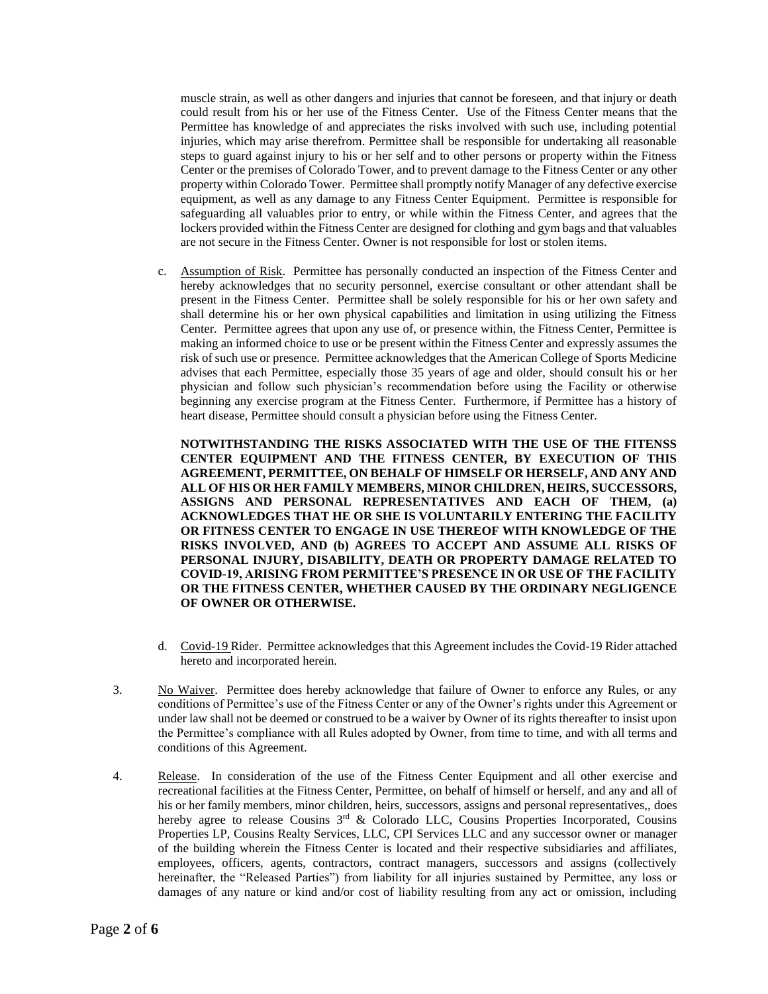muscle strain, as well as other dangers and injuries that cannot be foreseen, and that injury or death could result from his or her use of the Fitness Center. Use of the Fitness Center means that the Permittee has knowledge of and appreciates the risks involved with such use, including potential injuries, which may arise therefrom. Permittee shall be responsible for undertaking all reasonable steps to guard against injury to his or her self and to other persons or property within the Fitness Center or the premises of Colorado Tower, and to prevent damage to the Fitness Center or any other property within Colorado Tower. Permittee shall promptly notify Manager of any defective exercise equipment, as well as any damage to any Fitness Center Equipment. Permittee is responsible for safeguarding all valuables prior to entry, or while within the Fitness Center, and agrees that the lockers provided within the Fitness Center are designed for clothing and gym bags and that valuables are not secure in the Fitness Center. Owner is not responsible for lost or stolen items.

c. Assumption of Risk. Permittee has personally conducted an inspection of the Fitness Center and hereby acknowledges that no security personnel, exercise consultant or other attendant shall be present in the Fitness Center. Permittee shall be solely responsible for his or her own safety and shall determine his or her own physical capabilities and limitation in using utilizing the Fitness Center. Permittee agrees that upon any use of, or presence within, the Fitness Center, Permittee is making an informed choice to use or be present within the Fitness Center and expressly assumes the risk of such use or presence. Permittee acknowledges that the American College of Sports Medicine advises that each Permittee, especially those 35 years of age and older, should consult his or her physician and follow such physician's recommendation before using the Facility or otherwise beginning any exercise program at the Fitness Center. Furthermore, if Permittee has a history of heart disease, Permittee should consult a physician before using the Fitness Center.

**NOTWITHSTANDING THE RISKS ASSOCIATED WITH THE USE OF THE FITENSS CENTER EQUIPMENT AND THE FITNESS CENTER, BY EXECUTION OF THIS AGREEMENT, PERMITTEE, ON BEHALF OF HIMSELF OR HERSELF, AND ANY AND ALL OF HIS OR HER FAMILY MEMBERS, MINOR CHILDREN, HEIRS, SUCCESSORS, ASSIGNS AND PERSONAL REPRESENTATIVES AND EACH OF THEM, (a) ACKNOWLEDGES THAT HE OR SHE IS VOLUNTARILY ENTERING THE FACILITY OR FITNESS CENTER TO ENGAGE IN USE THEREOF WITH KNOWLEDGE OF THE RISKS INVOLVED, AND (b) AGREES TO ACCEPT AND ASSUME ALL RISKS OF PERSONAL INJURY, DISABILITY, DEATH OR PROPERTY DAMAGE RELATED TO COVID-19, ARISING FROM PERMITTEE'S PRESENCE IN OR USE OF THE FACILITY OR THE FITNESS CENTER, WHETHER CAUSED BY THE ORDINARY NEGLIGENCE OF OWNER OR OTHERWISE.**

- d. Covid-19 Rider. Permittee acknowledges that this Agreement includes the Covid-19 Rider attached hereto and incorporated herein.
- 3. No Waiver. Permittee does hereby acknowledge that failure of Owner to enforce any Rules, or any conditions of Permittee's use of the Fitness Center or any of the Owner's rights under this Agreement or under law shall not be deemed or construed to be a waiver by Owner of its rights thereafter to insist upon the Permittee's compliance with all Rules adopted by Owner, from time to time, and with all terms and conditions of this Agreement.
- 4. Release. In consideration of the use of the Fitness Center Equipment and all other exercise and recreational facilities at the Fitness Center, Permittee, on behalf of himself or herself, and any and all of his or her family members, minor children, heirs, successors, assigns and personal representatives,, does hereby agree to release Cousins 3<sup>rd</sup> & Colorado LLC, Cousins Properties Incorporated, Cousins Properties LP, Cousins Realty Services, LLC, CPI Services LLC and any successor owner or manager of the building wherein the Fitness Center is located and their respective subsidiaries and affiliates, employees, officers, agents, contractors, contract managers, successors and assigns (collectively hereinafter, the "Released Parties") from liability for all injuries sustained by Permittee, any loss or damages of any nature or kind and/or cost of liability resulting from any act or omission, including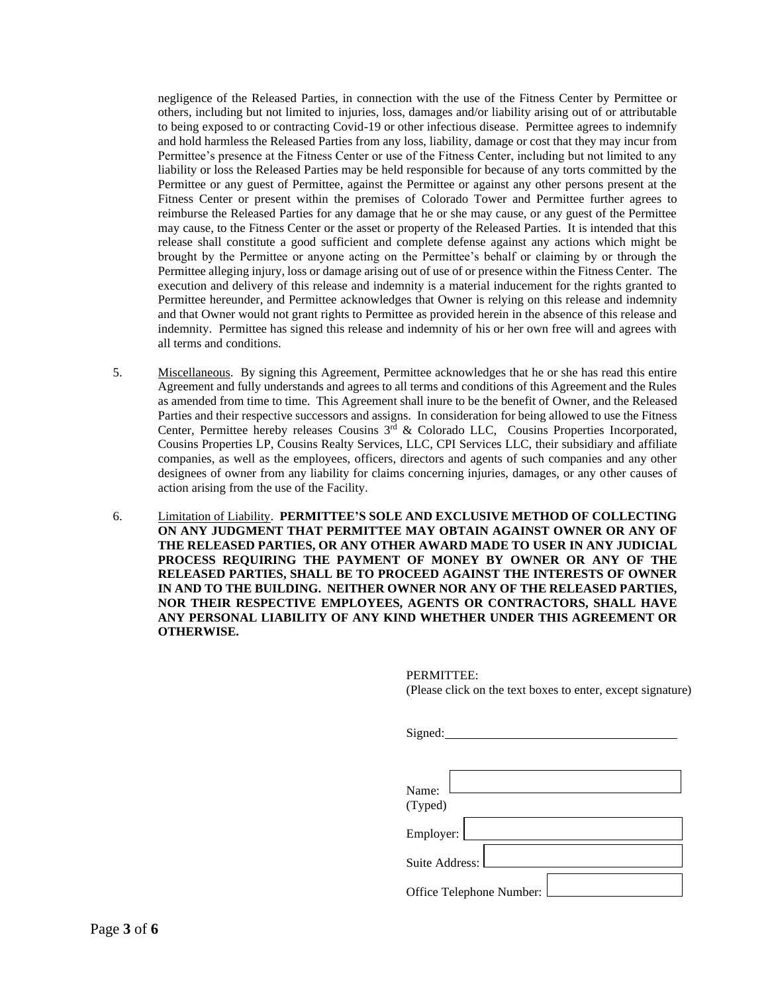negligence of the Released Parties, in connection with the use of the Fitness Center by Permittee or others, including but not limited to injuries, loss, damages and/or liability arising out of or attributable to being exposed to or contracting Covid-19 or other infectious disease. Permittee agrees to indemnify and hold harmless the Released Parties from any loss, liability, damage or cost that they may incur from Permittee's presence at the Fitness Center or use of the Fitness Center, including but not limited to any liability or loss the Released Parties may be held responsible for because of any torts committed by the Permittee or any guest of Permittee, against the Permittee or against any other persons present at the Fitness Center or present within the premises of Colorado Tower and Permittee further agrees to reimburse the Released Parties for any damage that he or she may cause, or any guest of the Permittee may cause, to the Fitness Center or the asset or property of the Released Parties. It is intended that this release shall constitute a good sufficient and complete defense against any actions which might be brought by the Permittee or anyone acting on the Permittee's behalf or claiming by or through the Permittee alleging injury, loss or damage arising out of use of or presence within the Fitness Center. The execution and delivery of this release and indemnity is a material inducement for the rights granted to Permittee hereunder, and Permittee acknowledges that Owner is relying on this release and indemnity and that Owner would not grant rights to Permittee as provided herein in the absence of this release and indemnity. Permittee has signed this release and indemnity of his or her own free will and agrees with all terms and conditions.

- 5. Miscellaneous. By signing this Agreement, Permittee acknowledges that he or she has read this entire Agreement and fully understands and agrees to all terms and conditions of this Agreement and the Rules as amended from time to time. This Agreement shall inure to be the benefit of Owner, and the Released Parties and their respective successors and assigns. In consideration for being allowed to use the Fitness Center, Permittee hereby releases Cousins  $3<sup>rd</sup>$  & Colorado LLC, Cousins Properties Incorporated, Cousins Properties LP, Cousins Realty Services, LLC, CPI Services LLC, their subsidiary and affiliate companies, as well as the employees, officers, directors and agents of such companies and any other designees of owner from any liability for claims concerning injuries, damages, or any other causes of action arising from the use of the Facility.
- 6. Limitation of Liability. **PERMITTEE'S SOLE AND EXCLUSIVE METHOD OF COLLECTING ON ANY JUDGMENT THAT PERMITTEE MAY OBTAIN AGAINST OWNER OR ANY OF THE RELEASED PARTIES, OR ANY OTHER AWARD MADE TO USER IN ANY JUDICIAL PROCESS REQUIRING THE PAYMENT OF MONEY BY OWNER OR ANY OF THE RELEASED PARTIES, SHALL BE TO PROCEED AGAINST THE INTERESTS OF OWNER IN AND TO THE BUILDING. NEITHER OWNER NOR ANY OF THE RELEASED PARTIES, NOR THEIR RESPECTIVE EMPLOYEES, AGENTS OR CONTRACTORS, SHALL HAVE ANY PERSONAL LIABILITY OF ANY KIND WHETHER UNDER THIS AGREEMENT OR OTHERWISE.**

PERMITTEE: (Please click on the text boxes to enter, except signature)

| Signed:                  |  |
|--------------------------|--|
|                          |  |
|                          |  |
| Name:                    |  |
| (Typed)                  |  |
| Employer:                |  |
| Suite Address:           |  |
| Office Telephone Number: |  |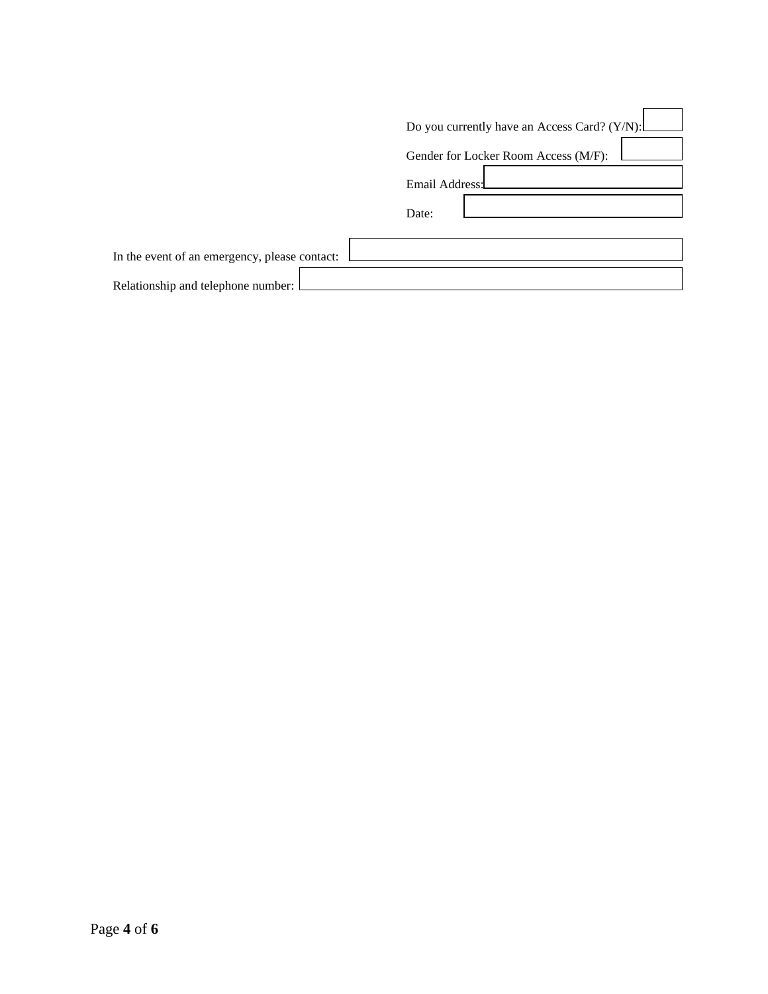|                                               | Do you currently have an Access Card? (Y/N): |
|-----------------------------------------------|----------------------------------------------|
|                                               | Gender for Locker Room Access (M/F):         |
|                                               | Email Address:                               |
|                                               | Date:                                        |
|                                               |                                              |
| In the event of an emergency, please contact: |                                              |
| Relationship and telephone number:            |                                              |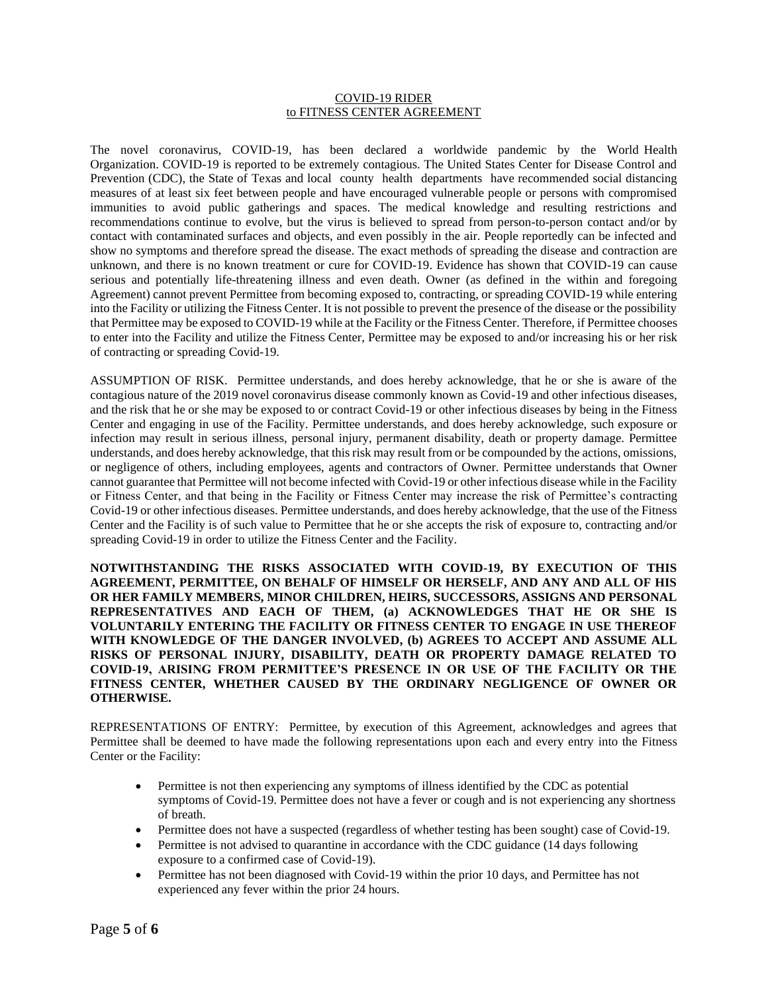## COVID-19 RIDER to FITNESS CENTER AGREEMENT

The novel coronavirus, COVID-19, has been declared a worldwide pandemic by the World Health Organization. COVID-19 is reported to be extremely contagious. The United States Center for Disease Control and Prevention (CDC), the State of Texas and local county health departments have recommended social distancing measures of at least six feet between people and have encouraged vulnerable people or persons with compromised immunities to avoid public gatherings and spaces. The medical knowledge and resulting restrictions and recommendations continue to evolve, but the virus is believed to spread from person-to-person contact and/or by contact with contaminated surfaces and objects, and even possibly in the air. People reportedly can be infected and show no symptoms and therefore spread the disease. The exact methods of spreading the disease and contraction are unknown, and there is no known treatment or cure for COVID-19. Evidence has shown that COVID-19 can cause serious and potentially life-threatening illness and even death. Owner (as defined in the within and foregoing Agreement) cannot prevent Permittee from becoming exposed to, contracting, or spreading COVID-19 while entering into the Facility or utilizing the Fitness Center. It is not possible to prevent the presence of the disease or the possibility that Permittee may be exposed to COVID-19 while at the Facility or the Fitness Center. Therefore, if Permittee chooses to enter into the Facility and utilize the Fitness Center, Permittee may be exposed to and/or increasing his or her risk of contracting or spreading Covid-19.

ASSUMPTION OF RISK. Permittee understands, and does hereby acknowledge, that he or she is aware of the contagious nature of the 2019 novel coronavirus disease commonly known as Covid-19 and other infectious diseases, and the risk that he or she may be exposed to or contract Covid-19 or other infectious diseases by being in the Fitness Center and engaging in use of the Facility. Permittee understands, and does hereby acknowledge, such exposure or infection may result in serious illness, personal injury, permanent disability, death or property damage. Permittee understands, and does hereby acknowledge, that this risk may result from or be compounded by the actions, omissions, or negligence of others, including employees, agents and contractors of Owner. Permittee understands that Owner cannot guarantee that Permittee will not become infected with Covid-19 or other infectious disease while in the Facility or Fitness Center, and that being in the Facility or Fitness Center may increase the risk of Permittee's contracting Covid-19 or other infectious diseases. Permittee understands, and does hereby acknowledge, that the use of the Fitness Center and the Facility is of such value to Permittee that he or she accepts the risk of exposure to, contracting and/or spreading Covid-19 in order to utilize the Fitness Center and the Facility.

**NOTWITHSTANDING THE RISKS ASSOCIATED WITH COVID-19, BY EXECUTION OF THIS AGREEMENT, PERMITTEE, ON BEHALF OF HIMSELF OR HERSELF, AND ANY AND ALL OF HIS OR HER FAMILY MEMBERS, MINOR CHILDREN, HEIRS, SUCCESSORS, ASSIGNS AND PERSONAL REPRESENTATIVES AND EACH OF THEM, (a) ACKNOWLEDGES THAT HE OR SHE IS VOLUNTARILY ENTERING THE FACILITY OR FITNESS CENTER TO ENGAGE IN USE THEREOF WITH KNOWLEDGE OF THE DANGER INVOLVED, (b) AGREES TO ACCEPT AND ASSUME ALL RISKS OF PERSONAL INJURY, DISABILITY, DEATH OR PROPERTY DAMAGE RELATED TO COVID-19, ARISING FROM PERMITTEE'S PRESENCE IN OR USE OF THE FACILITY OR THE FITNESS CENTER, WHETHER CAUSED BY THE ORDINARY NEGLIGENCE OF OWNER OR OTHERWISE.**

REPRESENTATIONS OF ENTRY: Permittee, by execution of this Agreement, acknowledges and agrees that Permittee shall be deemed to have made the following representations upon each and every entry into the Fitness Center or the Facility:

- Permittee is not then experiencing any symptoms of illness identified by the CDC as potential symptoms of Covid-19. Permittee does not have a fever or cough and is not experiencing any shortness of breath.
- Permittee does not have a suspected (regardless of whether testing has been sought) case of Covid-19.
- Permittee is not advised to quarantine in accordance with the CDC guidance (14 days following exposure to a confirmed case of Covid-19).
- Permittee has not been diagnosed with Covid-19 within the prior 10 days, and Permittee has not experienced any fever within the prior 24 hours.